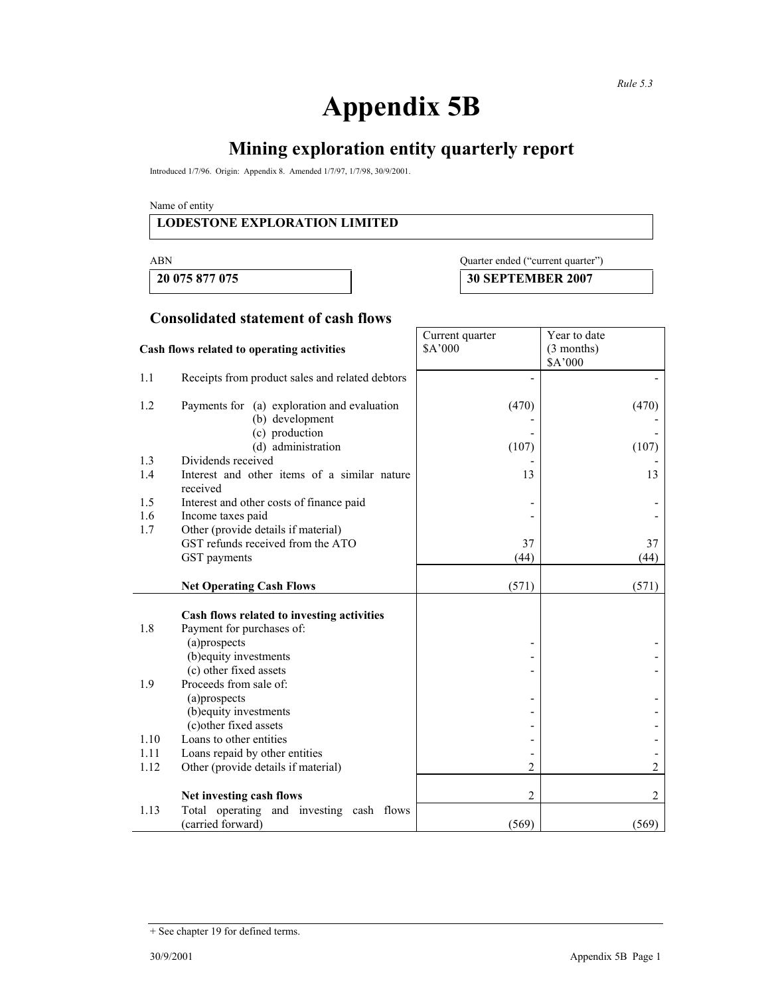# **Appendix 5B**

# **Mining exploration entity quarterly report**

Introduced 1/7/96. Origin: Appendix 8. Amended 1/7/97, 1/7/98, 30/9/2001.

Name of entity

#### **LODESTONE EXPLORATION LIMITED**

### ABN Quarter ended ("current quarter")

**20 075 877 075 30 SEPTEMBER 2007** 

#### **Consolidated statement of cash flows**

|                                            |                                                                | Current quarter | Year to date |
|--------------------------------------------|----------------------------------------------------------------|-----------------|--------------|
| Cash flows related to operating activities |                                                                | \$A'000         | $(3$ months) |
|                                            |                                                                |                 | \$A'000      |
| 1.1                                        | Receipts from product sales and related debtors                |                 |              |
| 1.2                                        | Payments for (a) exploration and evaluation<br>(b) development | (470)           | (470)        |
|                                            | (c) production<br>(d) administration                           | (107)           | (107)        |
| 1.3                                        | Dividends received                                             |                 |              |
| 1.4                                        | Interest and other items of a similar nature<br>received       | 13              | 13           |
| 1.5                                        | Interest and other costs of finance paid                       |                 |              |
| 1.6                                        | Income taxes paid                                              |                 |              |
| 1.7                                        | Other (provide details if material)                            |                 |              |
|                                            | GST refunds received from the ATO                              | 37              | 37           |
|                                            | GST payments                                                   | (44)            | (44)         |
|                                            | <b>Net Operating Cash Flows</b>                                | (571)           | (571)        |
|                                            |                                                                |                 |              |
|                                            | Cash flows related to investing activities                     |                 |              |
| 1.8                                        | Payment for purchases of:                                      |                 |              |
|                                            | (a)prospects                                                   |                 |              |
|                                            | (b) equity investments                                         |                 |              |
|                                            | (c) other fixed assets                                         |                 |              |
| 1.9                                        | Proceeds from sale of:                                         |                 |              |
|                                            | (a) prospects                                                  |                 |              |
|                                            | (b) equity investments                                         |                 |              |
|                                            | (c) other fixed assets                                         |                 |              |
| 1.10                                       | Loans to other entities                                        |                 |              |
| 1.11                                       | Loans repaid by other entities                                 |                 |              |
| 1.12                                       | Other (provide details if material)                            | 2               | 2            |
|                                            | Net investing cash flows                                       | 2               | 2            |
| 1.13                                       | Total operating and investing cash flows<br>(carried forward)  | (569)           | (569)        |

<sup>+</sup> See chapter 19 for defined terms.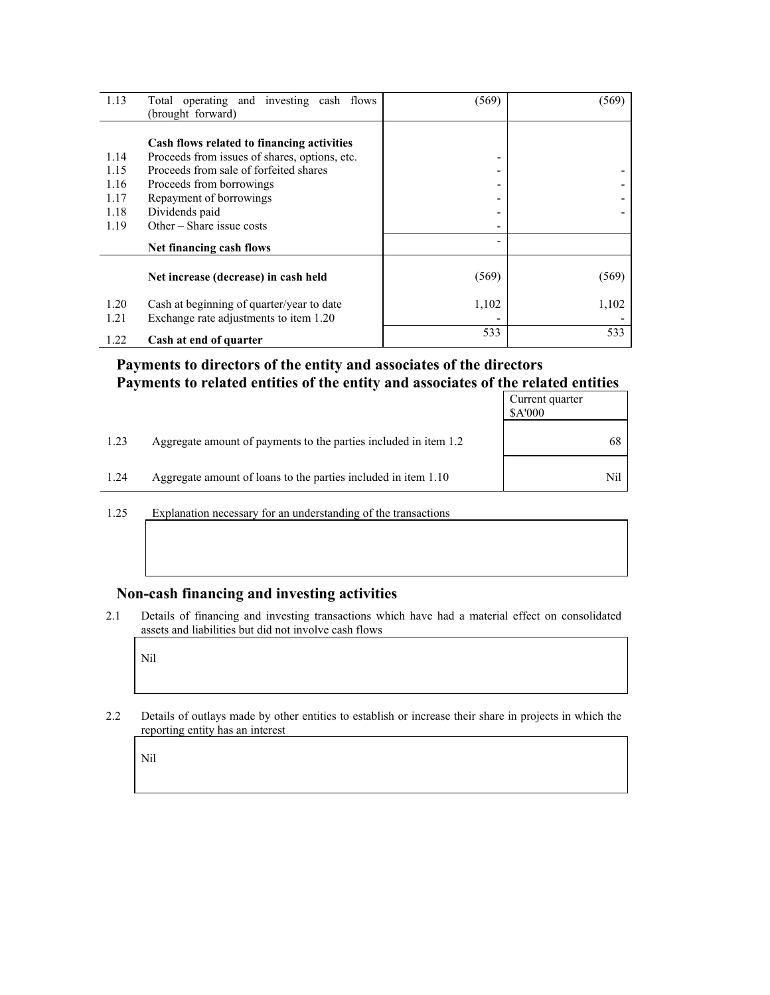| 1.13 | Total operating and investing cash flows      | (569) | (569) |
|------|-----------------------------------------------|-------|-------|
|      | (brought forward)                             |       |       |
|      |                                               |       |       |
|      | Cash flows related to financing activities    |       |       |
| 1.14 | Proceeds from issues of shares, options, etc. | ۰     |       |
| 1.15 | Proceeds from sale of forfeited shares        | -     |       |
| 1.16 | Proceeds from borrowings                      | -     |       |
| 1.17 | Repayment of borrowings                       |       |       |
| 1.18 | Dividends paid                                |       |       |
| 1.19 | Other $-$ Share issue costs                   |       |       |
|      | Net financing cash flows                      |       |       |
|      |                                               |       |       |
|      | Net increase (decrease) in cash held          | (569) | (569) |
| 1.20 | Cash at beginning of quarter/year to date     | 1,102 | 1,102 |
| 1.21 | Exchange rate adjustments to item 1.20        |       |       |
|      |                                               | 533   | 533   |
| 1.22 | Cash at end of quarter                        |       |       |

### **Payments to directors of the entity and associates of the directors Payments to related entities of the entity and associates of the related entities**

|      |                                                                  | Current quarter<br>\$A'000 |
|------|------------------------------------------------------------------|----------------------------|
| 1.23 | Aggregate amount of payments to the parties included in item 1.2 | 68                         |
| 1.24 | Aggregate amount of loans to the parties included in item 1.10   | Nil                        |

1.25 Explanation necessary for an understanding of the transactions

#### **Non-cash financing and investing activities**

2.1 Details of financing and investing transactions which have had a material effect on consolidated assets and liabilities but did not involve cash flows

Nil

2.2 Details of outlays made by other entities to establish or increase their share in projects in which the reporting entity has an interest

Nil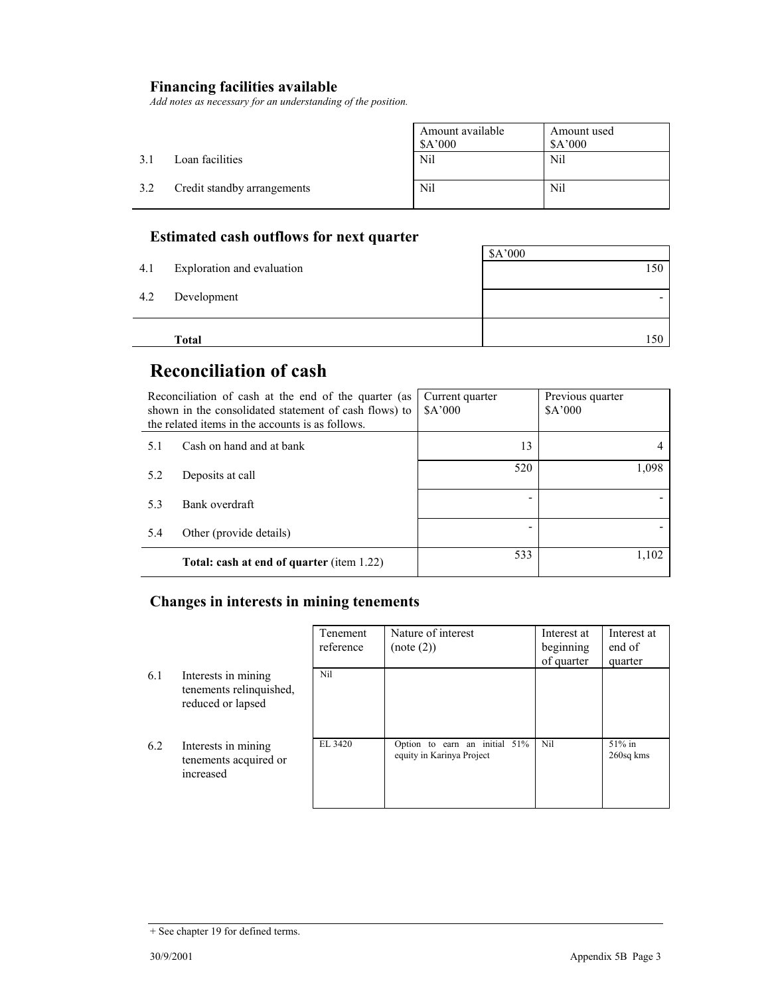# **Financing facilities available**

*Add notes as necessary for an understanding of the position.* 

|     |                             | Amount available<br>\$A'000 | Amount used<br>\$A'000 |
|-----|-----------------------------|-----------------------------|------------------------|
| 3.J | Loan facilities             | Nil                         | Nil                    |
| 3.2 | Credit standby arrangements | Nil                         | Nil                    |

## **Estimated cash outflows for next quarter**

|     | Total                      | 150            |
|-----|----------------------------|----------------|
| 4.2 | Development                |                |
|     |                            |                |
| 4.1 | Exploration and evaluation | \$A'000<br>150 |

# **Reconciliation of cash**

|     | Reconciliation of cash at the end of the quarter (as<br>shown in the consolidated statement of cash flows) to<br>the related items in the accounts is as follows. | Current quarter<br>\$A'000 | Previous quarter<br>\$A'000 |
|-----|-------------------------------------------------------------------------------------------------------------------------------------------------------------------|----------------------------|-----------------------------|
| 5.1 | Cash on hand and at bank                                                                                                                                          | 13                         |                             |
| 5.2 | Deposits at call                                                                                                                                                  | 520                        | 1,098                       |
| 5.3 | Bank overdraft                                                                                                                                                    |                            |                             |
| 5.4 | Other (provide details)                                                                                                                                           |                            |                             |
|     | <b>Total: cash at end of quarter (item 1.22)</b>                                                                                                                  | 533                        | 1,102                       |

### **Changes in interests in mining tenements**

|     |                                                                     | Tenement<br>reference | Nature of interest<br>(note (2))                           | Interest at<br>beginning<br>of quarter | Interest at<br>end of<br>quarter |
|-----|---------------------------------------------------------------------|-----------------------|------------------------------------------------------------|----------------------------------------|----------------------------------|
| 6.1 | Interests in mining<br>tenements relinquished,<br>reduced or lapsed | Nil                   |                                                            |                                        |                                  |
| 6.2 | Interests in mining<br>tenements acquired or<br>increased           | EL 3420               | Option to earn an initial 51%<br>equity in Karinya Project | Nil                                    | $51\%$ in<br>260sq kms           |

<sup>+</sup> See chapter 19 for defined terms.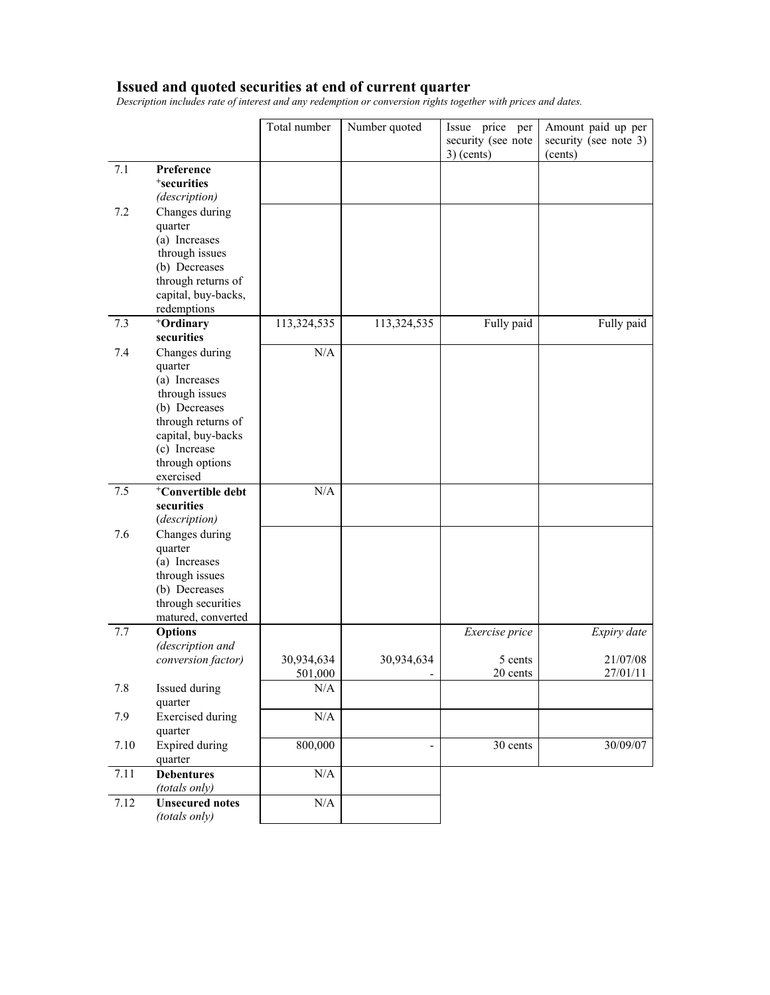#### **Issued and quoted securities at end of current quarter**

*Description includes rate of interest and any redemption or conversion rights together with prices and dates.* 

|      |                                         | Total number | Number quoted  | Issue price per<br>security (see note<br>$3)$ (cents) | Amount paid up per<br>security (see note 3)<br>(cents) |
|------|-----------------------------------------|--------------|----------------|-------------------------------------------------------|--------------------------------------------------------|
| 7.1  | Preference                              |              |                |                                                       |                                                        |
|      | <sup>+</sup> securities                 |              |                |                                                       |                                                        |
|      | (description)                           |              |                |                                                       |                                                        |
| 7.2  | Changes during                          |              |                |                                                       |                                                        |
|      | quarter                                 |              |                |                                                       |                                                        |
|      | (a) Increases                           |              |                |                                                       |                                                        |
|      | through issues                          |              |                |                                                       |                                                        |
|      | (b) Decreases                           |              |                |                                                       |                                                        |
|      | through returns of                      |              |                |                                                       |                                                        |
|      | capital, buy-backs,                     |              |                |                                                       |                                                        |
|      | redemptions                             |              |                |                                                       |                                                        |
| 7.3  | +Ordinary                               | 113,324,535  | 113,324,535    | Fully paid                                            | Fully paid                                             |
|      | securities                              |              |                |                                                       |                                                        |
| 7.4  | Changes during                          | N/A          |                |                                                       |                                                        |
|      | quarter                                 |              |                |                                                       |                                                        |
|      | (a) Increases<br>through issues         |              |                |                                                       |                                                        |
|      | (b) Decreases                           |              |                |                                                       |                                                        |
|      | through returns of                      |              |                |                                                       |                                                        |
|      | capital, buy-backs                      |              |                |                                                       |                                                        |
|      | (c) Increase                            |              |                |                                                       |                                                        |
|      | through options                         |              |                |                                                       |                                                        |
|      | exercised                               |              |                |                                                       |                                                        |
| 7.5  | <sup>+</sup> Convertible debt           | N/A          |                |                                                       |                                                        |
|      | securities                              |              |                |                                                       |                                                        |
|      | (description)                           |              |                |                                                       |                                                        |
| 7.6  | Changes during                          |              |                |                                                       |                                                        |
|      | quarter                                 |              |                |                                                       |                                                        |
|      | (a) Increases<br>through issues         |              |                |                                                       |                                                        |
|      | (b) Decreases                           |              |                |                                                       |                                                        |
|      | through securities                      |              |                |                                                       |                                                        |
|      | matured, converted                      |              |                |                                                       |                                                        |
| 7.7  | <b>Options</b>                          |              |                | Exercise price                                        | Expiry date                                            |
|      | (description and                        |              |                |                                                       |                                                        |
|      | conversion factor)                      | 30,934,634   | 30,934,634     | 5 cents                                               | 21/07/08                                               |
|      |                                         | 501,000      |                | 20 cents                                              | 27/01/11                                               |
| 7.8  | Issued during                           | $\rm N/A$    |                |                                                       |                                                        |
|      | quarter                                 |              |                |                                                       |                                                        |
| 7.9  | <b>Exercised</b> during                 | $\rm N/A$    |                |                                                       |                                                        |
|      | quarter                                 |              |                |                                                       |                                                        |
| 7.10 | <b>Expired</b> during                   | 800,000      | $\overline{a}$ | 30 cents                                              | 30/09/07                                               |
|      | quarter                                 |              |                |                                                       |                                                        |
| 7.11 | <b>Debentures</b>                       | N/A          |                |                                                       |                                                        |
| 7.12 | (totals only)                           | $\rm N/A$    |                |                                                       |                                                        |
|      | <b>Unsecured notes</b><br>(totals only) |              |                |                                                       |                                                        |